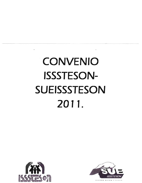# **CONVENIO ISSSTESON-SUEISSSTESON** 2011.



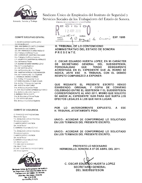

**COMITÉ EJECUTIVO ESTATAL** 

C. OSCAR EDUARDO HUERTA LOPÉZ Secretario General DRA. ANA MARIA DEL CASTILLO ARENAS Secretaria General Suplente LIC. ENF. FRANCISCA VELARDE VAZQUEZ Sria. Trabajo y Conflictos Titular ENF. CARMEN GPE. MARTINEZ BALCAZAR Sría. Trabajo y Conflictos Suplente C.P. LOURDES CLEMENTINA GIL HERALDEZ Sria, de Finanzas Titular C.P. SUSANA ADRIANA RAMIREZ LÓPEZ Sria, de Finanzas Suplente UC ENE BERTHA LOPEZ Sria. de Previsión y Acc. Soc. Titular ENF. MARTHA PATRICIA PEREZ MENDOZA Sria, de Previsión y Acc. Soc. Suplente C. VERONICA JIMENEZ MORENO Sria. de Org. Y Propaganda Titular C.P. MARIA GUADALUPE RUIZ ROBLES Sria. de Org. Y Propaganda Suplente ENF. ROCIO SALAZAR CANO Sria, de Actas y Acuerdos Titular LIC. ENF. DULCE GEMA ESPINOZA GUTIERREZ Sria. de Actas y Acuerdos Suplente C. NORMAN TAPIA DUARTE Srio. de Deportes y Cultura Titular C. JOSE HOYOS GRIJALVA Srio, de Deporte y Cultura Suplente

#### **COMITÉ DE VIGILANCIA**

C. FRANCISCO MARTINEZ MEDINA Presidente Titular T.S. ROSALINDA LOREDO PALENCIA Presidente Suplente C. AARON BARNES VALENCIA 1er. Vocal Titular C. CARMEN EVELIA VALDEZ RUIZ T.S. ROSALINDA LOREDO PALENCIA Presidente Suplente C. AARON BARNES VALENCIA 1er. Vocal Titular C. CARMEN EVELIA VALDÉZ RUIZ 1er. Vocal Suplente T.S. CIRA GARCIA MARQUEZ 2do, Vocal Titular LIC. ENF. OLGA ARACELI VASQUEZ ORTIZ 2do. Vocal Suplente



Sindicato Unico de Empleados del Instituto de Seguridad y Servicios Sociales de los Trabajadores del Estado de Sonora José Ma. Mendoza y Arizone Tel. 216 23.52 Hermostin Roman

Sindicato Único de Empleados del Instituto de Seguridad y Servicios Sociales de los Trabajadores del Estado de Sonora.

TRIBUNAL DE LO CONTENCIOSO ADMINISTRATIVO HERMOSILLO, SONORA **Brass** CIEI  $ALS$   $14:30$ HORAS EXP. 15/85 FIRMA  $\mathcal{O}$  $Convenu$ ANEXO Arigi

H. TRIBUNAL DE LO CONTENCIOSO ADMINISTRATIVO DEL ESTADO DE SONORA PRESENTE.

C. OSCAR EDUARDO HUERTA LOPEZ, EN MI CARÁCTER **DE SECRETARIO GENERAL DEL** SUEISSSTESON. QUE **TENGO PERSONALIDAD DEBIDAMENTE** ACREDITADA EN EL EXPEDIENTE QUE AL RUBRO SE INDICA, ANTE ESE H. TRIBUNAL CON EL DEBIDO **RESPETO COMPAREZCO A EXPONER:** 

**ESCRITO QUE** EL -**PRESENTE MEDIANTE VENGO** EXHIBIENDO: ORIGINAL Y COPIA DE **CONVENIO** CELEBRADO ENTRE EL ISSSTESON Y EL SUEISSSTESON **CORRESPONDIENTE AL AÑO 2011, MISMO QUE SOLICITO** SE ANEXE AL EXPEDIENTE 15/85 PARA QUE SURTA LOS EFECTOS LEGALES A LOS QUE HAYA LUGAR.

**POR** LO **ANTERIORMENTE EXPUESTO. ESE** A H. TRIBUNAL ATENTAMENTE PIDO:

UNICO.- ACORDAR DE CONFORMIDAD LO SOLICITADO EN LOS TERMINOS DEL PRESENTE ESCRITO.

UNICO.- ACORDAR DE CONFORMIDAD LO SOLICITADO EN LOS TERMINOS DEL PRESENTE ESCRITO.

PROTESTO LO NECESARIO HERMOSILLO, SONORA A 07 DE ABRIL DEL 2011.

C. OSCAR EDUARDO HUERTA LOPEZ **SECRETARIO GENERAL** DEL SUEISSSTESON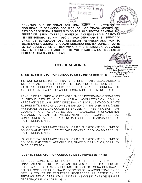CONVENIO QUE CELEBRAN POR UNA PARTE, EL INSTITUTO DE Hidalgo No SEGURIDAD Y SERVICIOS SOCIALES DE LOS TRABAJADORES DEL TERESA DE JESUS LIZARRAGA FIGUEROA, A QUIEN EN LO SUCESIVO SE LE DENOMINARA "EL INSTITUTO": Y POR OTRA PARTE, EL SINDICATO UNICO DE EMPLEADOS DEL ISSSTESON. REPRESENTADO POR SU SECRETARIO GENERAL, C. OSCAR EDUARDO HUERTA LOPEZ, A QUIEN EN LO SUCESIVO SE LE DENOMINARA "EL SINDICATO", QUEDANDO SUJETO EL PRESENTE ACUERDO DE VOLUNTADES A LAS SIGUIENTES **DECLARACIONES Y CLAUSULAS:** 

 $A$ <sub>L</sub> $A$ <sup>o</sup>

FIRMA ANEXO

DUBLINAL DE LA COMPENCIOSO ADMINISTRATIVO HERVORILLO, SONORA

.2 ABR 201

 $1.323$ 

HORAS

# **DECLARACIONES**

del Ingliluto Prinche algo Unitore cash ic **S**egyridad y Sannoon Booklee de los Tæbelsdores del Ecalio de Ronora. José Ma<sub>y</sub> Mandoza y A<del>ris</del>ona **752, 210 20 PC Novemedia, Annon**a

**RIDADYS** 

 $OFI$ 

# I.- DE "EL INSTITUTO" POR CONDUCTO DE SU REPRESENTANTE:

1.1.- QUE SU DIRECTOR GENERAL Y REPRESENTANTE LEGAL ACREDITA DICHO CARÁCTER CON LA COPIA CERTIFICADA DEL OFICIO NUM. 03.01-1-447/09, EXPEDIDO POR EL GOBERNADOR DEL ESTADO DE SONORA EL C. LIC. GUILLERMO PADRES ELIAS. DE FECHA 14 DE SEPTIEMBRE DE 2009.

1.2.- QUE DE ACUERDO A LO PREVISTO EN LOS PROGRAMAS OPERATIVOS Y PRESUPUESTALES QUE LA ACTUAL ADMINISTRACION, CON LA APROBACION DE LA H. JUNTA DIRECTIVA HA INSTRUMENTADO DURANTE EL PRESENTE EJERCICIO, CON SUJETABILIDAD A SUS DISPONIBILIDADES PRESUPUESTALES, LAS CUALES SE ENCUENTRAN RESTRINGIDAS A LAS CUOTAS Y APORTACIONES DE LOS TRABAJADORES Y ORGANISMOS APOYAR EL MEJORAMIENTO DE ALGUNAS AFILIADOS. DE LAS CONDICIONES LABORALES Y GENERALES DE SUS TRABAJADORES DE **BASE SINDICALIZADOS.** 

1.3.- QUE ESTA FACULTADO PARA SUSCRIBIR EL PRESENTE CONVENIO DE CONDIVIVINES LABURALES I GENERALES DE SOS I KABAJADUKES DE **BASE SINDICALIZADOS.** 

1.3 - QUE ESTA FACULTADO PARA SUSCRIBIR EL PRESENTE CONVENIO DE CONFORMIDAD CON EL ARTICULO 109, FRACCIONES I, V Y VIII, DE LA LEY 38 DE ISSSTESON.

# II. DE "EL SINDICATO" POR CONDUCTO DE SU REPRESENTANTE:

11.1.- QUE CONCIENTE DE LA FALTA DE FUENTES ALTERNAS DE FINANCIAMIENTO QUE PERMITAN SOLVENTAR EL PRESUPUESTO DEFICITARIO DE OPERACIÓN DEL INSTITUTO, SE HA LOGRADO A TRAVES DEL DIALOGO Y DE LA BUENA DISPOSICION DE LA ADMINISTRACION DE ESTE, A TRAVES DE ESFUERZOS RECIPROCOS, LA OBTENCION DE PRESTACIONES QUE PERMITAN MEJORAR LAS CONDICIONES GENERALES DE TRABAJO DE LOS AGREMIADOS.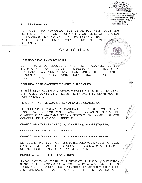

In the Town y Sonneaux Sucretex do less **Manifesto del Estado de Sonato**. štež Ma. Mandosa y Arizone Tal. 216 23 CZ **KIRUCKERA** Strates

#### III.- DE LAS PARTES:

III.1.- QUE PARA FORMALIZAR LOS ESFUERZOS RECIPROCOS QUE REFIERE A DECLARACION PRECEDENTE Y QUE BENEFICIARAN A LOS TRABAJADORES SINDICALIZADOS Y TOMANDO COMO BASE EL PLIEGO PETITORIO 2011 PRESENTADO POR "EL SINDICATO" CONCERTANTEAS SIGUIENTES:

# CLAUSULAS

#### PRIMERA, RECATEGORIZACIONES.

EL INSTITUTO DE SEGURIDAD Y SERVICIOS SOCIALES DE **LOS** TRABAJADORES DEL ESTADO DE SONORA Y EL SUEISSSTESON. ACORDAMOS UN MONTO ANUAL POR \$840,000.00 (OCHOCIENTOS **PESOS** PARA EL CUARENTA MIL 00/100  $M/N$ ). **RUBRO** DF. RECATEGORIZACIONES.

#### SEGUNDA, BASIFICACIONES Y EVENTUALIZACIONES.

EL ISSSTESON ACUERDA OTORGAR 6 BASES Y 12 EVENTUALIDADES A LOS TRABAJADORES DE CATEGORÍA EVENTUAL Y SUPLENTE FIJO. EN FORMA MENSUAL.

#### TERCERA. PAGO DE GUARDERIA Y APOYO DE GUARDERIA.

SE ACUERDA OTORGAR LA CANTIDAD DE \$1.150.00 (MIL CIENTO CINCUENTA PESOS 00/100 M.N.) MENSUAL, POR CONCEPTO DE "PAGO DE GUARDERÍA" Y \$1,070.00 (MIL SETENTA PESOS 00/100 M.N.) MENSUAL, POR CONCEPTO DE "APOYO DE GUARDERIA".

# CUARTA, APOYO PARA CAPACITACION DE AREA ADMINISTRATIVA.

CONCEPTO DE "APOYO DE GUARDERIA".

# CUARTA. APOYO PARA CAPACITACION DE AREA ADMINISTRATIVA.

SE ACUERDA INCREMENTAR A \$650.00 (SEISCIENTOS CINCUENTA PESOS 00/100 M/N) MENSUALES. EL APOYO PARA CAPACITACIÓN AL PERSONAL DE BASE SINDICALIZADO DEL ÁREA ADMINISTRATIVA.

#### QUINTA, APOYO DE UTILES ESCOLARES.

AMBAS PARTES ACUERDAN SE INCREMENTE A \$940.00 (NOVECIENTOS CUARENTA PESOS 00/100 M/N) EL APOYO ANUAL PARA LA COMPRA DE ÚTILES ESCOLARES OTORGADO A TODO TRABAJADOR. PENSIONADO Y JUBILADO DE BASE SINDICALIZADOS, QUE TENGAN HIJOS QUE CURSEN LA EDUCACIÓN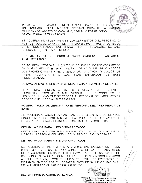

PRIMARIA, SECUNDARIA, PREPARATORIA, CARRERA TÉCNICA UNIVERSITARIA. PARA HACERSE EFECTIVA DURANTE LA PRIMERA QUINCENA DE AGOSTO DE CADA AÑO, SEGÚN LO ESTABLECIDO. SEXTA, AYUDA DE TRANSPORTE.

SE ACUERDA INCREMENTAR A \$510.00 (QUINIENTOS DIEZ PESOS 00/100 M.N.) MENSUALES. LA AYUDA DE TRANSPORTE PARA TRABAJADORES DE BASE SINDICALIZADOS, INCLUYENDO A LOS TRABAJADORES DE BASE SINDICALIZADOS DEL AREA MEDICA.

# SEPTIMA. AYUDA DE LIBROS A PROFESIONISTAS DE LAS AREAS ADMINISTRATIVAS.

SE ACUERDA OTORGAR LA CANTIDAD DE \$200.00 (DOSCIENTOS PESOS 00/100 M.N.) MENSUALES, POR CONCEPTO DE AYUDA DE LIBROS A TODOS LOS PROFESIONISTAS NIVEL LICENCIATURA O MAYOR, TITULADOS, DE **AREAS** ADMINISTRATIVAS QUE SEAN EMPLEADOS DE. **BASE** SINDICALIZADOS.

# OCTAVA. APOYO DE SESIONES CLINICAS PARA AREA MEDICA DE BASE.

SE ACUERDA OTORGAR LA CANTIDAD DE \$1.250.00 (MIL DOSCIENTOS CINCUENTA PESOS 00/100 M.N.) MENSUALES, POR CONCEPTO DE SESIONES CLINICAS QUE SE OTORGA AL PERSONAL DEL AREA MEDICA DE BASE Y AFILIADOS AL SUEISSSTESON.

# NOVENA. AYUDA DE LIBROS PARA EL PERSONAL DEL AREA MEDICA DE BASE.

SE ACUERDA OTORGAR LA CANTIDAD DE \$1,250.00 (MIL DOSCIENTOS CINCUENTA PESOS 00/100 M.N.) MENSUAL, POR CONCEPTO DE AYUDA DE LIBROS AL PERSONAL DEL AREA MEDICA SINDICALIZADOS DE BASE.

# DECIMA. AYUDA PARA HIJOS DISCAPACITADOS.

CINCUENTA PESOS 00/100 M.N.) MENSUAL, POR CONCEPTO DE AYUDA DE LIBROS AL PERSONAL DEL AREA MEDICA SINDICALIZADOS DE BASE.

# DECIMA. AYUDA PARA HIJOS DISCAPACITADOS.

SE ACUERDA UN INCREMENTO A \$1,200.00 (MIL DOSCIENTOS PESOS 00/100 M.N.) MENSUALES, POR CONCEPTO DE AYUDA PARA HIJOS DISCAPACITADOS, POR CADA HIJO DISCAPACITADO DEL TRABAJADOR DE BASE SINDICALIZADO; ASI COMO JUBILADOS Y PENSIONADOS AFILIADOS AL SUEISSSTESON. CON EL UNICO REQUISITO DE PRESENTAR EL DICTAMEN EMITIDO POR EL DEPARTAMENTO DE SALUD OCUPACIONAL DE LA SUBDIRECCION MEDICA DEL INSTITUTO.





**Britteller fel instituto** le Raguridas у Servicios Sociales da los ire baladores del Est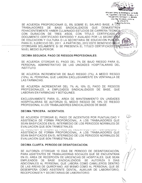Tel: 218.23.57 SE ACUERDA PROPORCIONAR EL 5% SOBRE EL SALARIO BASE, A LOS **TRABAJADORES BASE SINDICALIZADOS** QUE DE. **DEMUESTREN** FEHACIENTEMENTE HABER CULMINADO ESTUDIOS DE CARRERA TECNICA CON DURACION DE TRES AÑOS. CON TITULO CERTIFICADO. DOCUMENTO CERTIFICADO EXPEDIDO Y AVALADO POR LA SECRETARIA DE EDUCACION Y CULTURA O LA SECRETARIA DE EDUCACION PUBLICA PARA EL EJERCICIO DEL 2011. A PARTIR DEL 2012 ESTE BENEFICIO SENLE OTORGARA SOLAMENTE SI SE PRESENTA EL TITULO CERTIFICADO CON NIVEL MEDIO SUPERIOR.

Writecale Ummu de

de Augundad y Servicios Sociales de lo Impagariores dal éstato de Sionora. xxxe Mg. Mandoka y Amerina

# DECIMA SEGUNDA, PAGO DE RIESGOS PROFESIONALES.

SE ACUERDA OTORGAR EL PAGO DEL 7% DE BAJO RIESGO PARA EL PERSONAL ADMINISTRATIVO DE LAS UNIDADES HOSPITALARIAS DEL INSTITUTO.

SE ACUERDA INCREMENTAR DE BAJO RIESGO (7%), A MEDIO RIESGO (10%), AL PERSONAL QUE LABORA EXCLUSIVAMENTE EN VENTANILLA DE LAS FARMACIAS.

SE ACUERDA INCREMENTAR DEL 7% AL 10% EL PAGO DE RIESGOS PROFESIONALES, A EMPLEADOS SINDICALIZADOS DE BASE, QUE LABORAN EN FARMACIAS Y BOTIQUINES.

EXCLUSIVAMENTE PARA EL AREA DE MANTENIMIENTO EN UNIDADES HOSPITALARIAS SE AUTORIZA EL MEDIO RIESGO DE 10% DE RIESGO PROFESIONAL A LOS TRABAJADORES SINDICALIZADOS DE BASE.

# DECIMA TERCERA. INCENTIVOS.

SE ACUERDA OTORGAR EL PAGO DE INCENTIVOS POR PUNTUALIDAD Y ASISTENCIA DE FORMA PROPORCIONAL. A LOS TRABAJADORES QUE SEAN BASIFICADOS EN EL INTERMEDIO DE LOS PERIODOS NORMALES DE EVALUACION QUE SON TRIMESTRALES.

UL MUULINDI VIUNUMI LETTAUU DE INULINIIVUU FUN FUNTUMEIDAD T ASISTENCIA DE FORMA PROPORCIONAL. A LOS TRABAJADORES QUE SEAN BASIFICADOS EN EL INTERMEDIO DE LOS PERIODOS NORMALES DE EVALUACION QUE SON TRIMESTRALES.

# DECIMA CUARTA, PERIODO DE DESINTOXICACION.

SE AUTORIZA OTORGAR 10 DÍAS DE PERIODO DE DESINTOXICACIÓN. PARA ASISTENTES DE TRABAJADORAS SOCIALES QUE SE ENCUENTRAN EN EL ÁREA DE RECEPCIÓN DE URGENCIAS DE HOSPITALES. QUE SEAN EMPLEADOS DE BASE SINDICALIZADOS. SE AUTORIZA  $5 -$ **DIAS** ADICIONALES AL PERSONAL QUE LABORA COMO CAMILLEROS DENTRO DE LAS ÁREAS DE QUIRÓFANO, ASÍ MISMO COMO AL PERSONAL QUE SE DESEMPEÑA COMO ASISTENTE DENTAL, AUXILIAR DE LABORATORIO, RECEPCIONISTA Y SECRETARIAS DE LABORATORIO.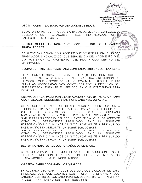

Sindicato Unita de Smpleador del mistierio 13 Segundad v Servicios Sociales de los **Timbaladores del Futado de Shnora.** lewi Ma represent chort to

6. 218 (2.7<sup>4</sup>

**Blvd Hidalgo No.** 

كالصادمين والاومر سروايا

#### DECIMA QUINTA, LICENCIA POR DEFUNCION DE HIJOS.

SE AUTORIZA INCREMENTAR DE 5 A 10 DIAS DE LICENCIA CON GOCE DE SE AUTORIZA INCREMENTAR DE 5 A TU DIAS DE LIGENCIA GON GOOL DE MAIDAD V SEA FALLECIMIENTO DE LOS HIJOS.

DECIMA SEXTA. LICENCIA CON GOCE DE **SUELDO** A PADRES **TRABAJADORES.** 

SE AUTORIZA LICENCIA CON GOCE DE SUELDO POR UN DIA, AL PADRE TRABAJADOR SINDICALIZADO, QUE SERA EL DIA DEL NACIMIENTO O EL DIA POSTERIOR AL NACIMIENTO. DEL HIJO NACIDO DENTRO DEL MATRIMONIO.

# DECIMA SEPTIMA. LICENCIAS PARA CONTIENDA SINDICAL DE PLANILLAS.

SE AUTORIZA OTORGAR LICENCIA DE DIEZ (10) DIAS CON GOCE DE SUELDO Y SIN AFECTACION DE NINGUNA OTRA PRESTACION, AL PERSONAL QUE INTEGRE FORMAL Y LEGALMENTE ALGUNA DE LAS PLANILLAS REGISTRADAS PARA CONTENDER POR LA DIRECCION DEL SUEISSSTESON, DURANTE EL PERIODO EN QUE CONTIENDAN PARA DICHO FIN.

# DECIMA OCTAVA, PAGO POR CERTIFICACION Y RECERTIFICACION PARA ODONTOLOGOS, ENDODONCISTAS Y CIRUJANO MAXILOFACIAL.

SE AUTORIZA EL PAGO POR CERTIFICACION Y RECERTIFICACION A TODOS LOS TRABAJADORES DE BASE SINDICALIZADOS QUE OCUPEN EL **PUESTO** DE ODONTOLOGOS. ENDODONCISTAS **CIRUJANO** Y. MAXILOFACIAL, SIEMPRE Y CUANDO PRESENTE EL ORIGINAL Y COPIA SIMPLE PARA SU COTEJO. DEL DOCUMENTO OFICIAL QUE LOS ACREDITE COMO TAL, DEBIDAMENTE LEGALIZADO, BAJO LA **SIGUIENTE** ESPECIFICACIÓN: 5 A 14 AÑOS DE ANTIGÜEDAD 5% DE SOBRE SUELDO BASE: 15 AÑOS EN ADELANTE 10% SOBRE SUELDO BASE.

SIMPLE PARA SU COTEJO, DEL DOCUMENTO OFICIAL QUE LOS ACREDITE COMO TAL, DEBIDAMENTE LEGALIZADO, BAJO LA **SIGUIENTE** ESPECIFICACIÓN: 5 A 14 AÑOS DE ANTIGÜEDAD 5% DE SOBRE SUELDO BASE; 15 AÑOS EN ADELANTE 10% SOBRE SUELDO BASE.

# DECIMA NOVENA. ESTIMULOS POR AÑOS DE SERVICIO.

SE AUTORIZA PAGAR EL ESTIMULO DE AÑOS DE SERVICIO CON EL NIVEL 8-I. DE ACUERDO CON EL TABULADOR DE SUELDOS VIGENTE. A LOS TRABAJADORES DE BASE SINDICALIZADOS.

#### VIGESIMA. TABULADOR PARA LOS QUIMICOS.

SE ACUERDA OTORGAR A TODOS LOS QUIMICOS BIOLOGOS DE BASE SINDICALIZADOS, QUE CUENTEN CON TITULO PROFESIONAL Y QUE LABOREN DENTRO DE LOS LABORATORIOS DEL INSTITUTO. EL NIVEL 7-A DE ACUERDO AL TABULADOR DE SUELDOS VIGENTE.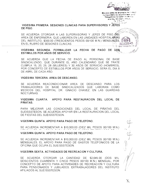

SE ACUERDA OTORGAR A LAS SUPERVISORAS Y JEFES DE PISO DEL AREA DE ENFERMERIA, QUE LABOREN EN LAS UNIDADES HOSPITALARIAS DEL INSTITUTO, \$300.00 (TRESCIENTOS PESOS 00/100 M.N.) MENSUALES. EN EL RUBRO DE SESIONES CLINICAS. 銹 Blvd Hitzigo No 16

VIGESIMA SEGUNDA. FORMALIZAR LA FECHA DE PAGO DE LOS ESTIMULOS POR AÑOS DE SERVICIÓ.

SE ACUERDA QUE LA FECHA DE PAGO AL PERSONAL DE BASE SINDICALIZADO, QUE DURANTE EL AÑO CALENDARIO QUE SE TRATE CUMPLA 15, 20, 25, 28 (MUJERES) Y 30 AÑOS DE SERVICIO (HOMBRES). POR CONCEPTO DE ESTIMULOS POR AÑOS DE SERVICIO, SERA EL DIA 8 DE ABRIL DE CADA AÑO.

#### VIGESIMA TERCERA. AREA DE DESCANSO.

SE ACUERDA REACONDICIONAR AREA DE DESCANSO PARA LOS TRABAJADORES DE BASE SINDICALIZADOS QUE LABORAN COMO MEDICOS DEL HOSPITAL DR. IGNACIO CHAVEZ, EN LAS GUARDIAS NOCTURNAS.

#### VIGESIMA CUARTA. APOYO PARA RESTAURACION DEL LOCAL DE PIÑATAS.

PARA MEJORAR LAS CONDICIONES DEL LOCAL DE PIÑATAS DEL SUEISSSTESON, SE ACUERDA APOYAR EN LA RESTAURACION DEL LOCAL DE FIESTAS DEL SUEISSSTESON.

#### VIGESIMA QUINTA. APOYO PARA PAGO DE TELEFONO.

SE ACUERDA INCREMENTAR A \$10,000.00 (DIEZ MIL PESOS 00/100 M.N.)

#### VIGESIMA QUINTA, APOYO PARA PAGO DE TELEFONO.

SE ACUERDA INCREMENTAR A \$10,000.00 (DIEZ MIL PESOS 00/100 M.N.) MENSUALES, EL APOYO PARA PAGO DE GASTOS TELEFONICOS DE LA OFICINA QUE OCUPA EL SUEISSSTESON.

#### VIGESIMA SEXTA, ACTIVIDADES DE RECREACION Y CULTURA.

SE ACUERDA OTORGAR LA CANTIDAD DE \$2,645.00 (DOS **MIL** SEISCIENTOS CUARENTA Y CINCO PESOS 00/100 M.N.) MENSUAL. POR CONCEPTO DE APOYO PARA ACTIVIDADES DE RECREACION Y CULTURA PARA PENSIONADOS Y JUBILADOS. EXTRABAJADORES DEL INSTITUTO AFILIADOS AL SUEISSSTESON.

Strukturin Unitor de Smpiesdor des Estatuts 12 Segundad y Sannous Socialis qui or Trabagadores dal Selección Sonciac **Jesú Mia Mandoes v Zentura** family and the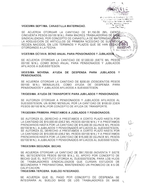

Philipsin Onta, no Smoregon del visita acundad y 38 thouse Sporters de tor the source. লেনে দিনে সিলেনে বাংলা দিয়েই<br>- ইটামে ইটামে ই

### VIGESIMA SEPTIMA. CANASTILLA MATERNIDAD.

SE ACUERDA OTORGAR LA CANTIDAD DE \$1,150.00 (MIL CIENTO CINCUENTA PESOS 00/100 M.N.), PARA MADRES TRABAJADORAS DE BASES DE SINDICALIZADAS, POR CONCEPTO DE CANASTILLA DE MATERNIDAD RARA LA ADQUISICION DE ARTICULOS DE PRIMERA NCESIDAD DE SUS HUOS RECIEN NACIDOS, EN LOS TERMINOS Y PLAZOS QUE SE HAN ESTADO OTORGANDO A LA FECHA.  $1332230$ Blvd. Hidalgo No. 15

# VIGESIMA OCTAVA. BONO ANUAL PARA PENSIONADOS Y JUBILADOS.

**HEAMOSILLO** S SE ACUERDA OTORGAR LA CANTIDAD DE \$7,000.00 (SIETE MIL PESOS 00/100 M.N.), COMO BONO ANUAL PARA PENSIONADOS Y JUBILADOS AFILIADOS A SUEISSSTESON.

# VIGESIMA NOVENA. AYUDA DE DESPENSA PARA JUBILADOS Y PENSIONADOS.

SE ACUERDA OTORGAR LA CANTIDAD DE \$200.00 (DOSCIENTOS PESOS 00/100 M.N.) MENSUALES, COMO AYUDA DE DESPENSA PARA PENSIONADOS Y JUBILADOS AFILIADOS A SUEISSSTESON.

# TRIGESIMA, AYUDA DE TRANSPORTE PARA JUBILADOS Y PENSIONADOS.

SE AUTORIZA OTORGAR A PENSIONADOS Y JUBILADOS AFILIADOS AL SUEISSSTESON, UN BONO MENSUAL POR LA CANTIDAD DE \$100.00 (CIEN PESOS 00/100 M.N.) POR CONCEPTO DE AYUDA DE TRANSPORTE.

#### TRIGESIMA PRIMERA. PRESTAMOS A JUBILADOS Y PENSIONADOS.

SE AUTORIZA EL DERECHO A PRESTAMOS A CORTO PLAZO HASTA POR LA CANTIDAD DE \$10,000.00 (DIEZ MIL PESOS 00/100 M.N.) Y A PRESTAMOS PRENDARIOS HASTA POR LA CANTIDAD DE \$15,000.00 (QUINCE MIL PESOS 00/100 M.N.), A JUBILADOS Y PENSIONADOS AFILIADOS AL SUEISSSTESON. SE AUTORIZA EL DERECHO A PRESTAMOS A CORTO PLAZO HASTA POR LA CANTIDAD DE \$10,000.00 (DIEZ MIL PESOS 00/100 M.N.) Y A PRESTAMOS PRENDARIOS HASTA POR LA CANTIDAD DE \$15,000.00 (QUINCE MIL PESOS 00/100 M.N.), A JUBILADOS Y PENSIONADOS AFILIADOS AL SUEISSSTESON.

# TRIGESIMA SEGUNDA, BECAS.

SE ACUERDA OTORGAR LA CANTIDAD DE \$97,700.00 (NOVENTA Y SIETE MIL SETECIENTOS PESOS 00/100 M.N.), EL APOYO POR CONCEPTO DE BECAS QUE EL INSTITUTO OTORGA AL SUEISSSTESON, PARA LOS HIJOS DE TRABAJADORES SINDICALIZADOS QUE CURSAN ESTUDIOS DE SECUNDARIA Y PREPARATORIA, MANTENIENDO UN PROMEDIO DE 8.5 DE CALIFICACION.

#### TRIGESIMA TERCERA. SUELDO INTEGRADO.

SE ACUERDA QUE EL PAGO POR CONCEPTO DE DESPENSA SE INTEGRARA AL SUELDO BASE DE LOS TRABAJADORES DE BASE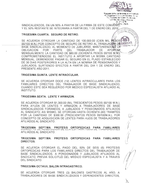

COMPROMETIENDOSE EL INSTITUTO A APORTAR LA MISMA CANTIDAD MENSUAL, DEBIENDOSE PAGAR EL SEGURO EN EL PLAZO ESTABLECIDO DE 30 DIAS POSTERIORES A LA ALTA EN LA NOMINA DE PENSIONADOS Y JUBILADOS, SURTIENDO EFECTOS A PARTIR DEL DIA 1 DE ENERO DEL PRESENTE AÑO 2011.

# TRIGESIMA QUINTA, LENTE INTRAOCULAR.

SE ACUERDA OTORGAR DOCE (12) LENTES INTRAOCULARES PARA LOS FAMILIARES DIRECTOS DEL TRABAJADOR DE BASE SINDICALIZADO. CUANDO ESTE SEA REQUERIDO POR MEDICO ESPECIALISTA AFILIADO AL INSTITUTO

# TRIGESIMA SEXTA. LENTE Y ARMAZON.

SE ACUERDA OTORGAR \$1,300.00 (MIL TRESCIENTOS PESOS 00/100 M.N.). PARA AYUDA DE LENTES Y ARMAZON A TRABAJADORES DE BASE SINDICALIZADOS FORANEOS, A JUBILADOS Y PENSIONADOS AFILIADOS AL SINDICATO: ASI MISMO, SE OTORGAN HASTA OCHENTA (80) TRAMITES POR LA CANTIDAD DE \$300.00 (TRESCIENTOS PESOS 00/100M.N.), POR CONCEPTO DE ADQUISICION DE LENTES PARA HIJOS DE TRABAJADORES AFILIADOS AL SINDICATO.

TRIGESIMA SEPTIMA. PROTESIS ORTOPEDICAS **PARA FAMILIARES** AFILIADOS AL SINDICATO.

# TRIGESIMA SEPTIMA. PROTESIS ORTOPEDICAS PARA FAMILIARES DIRECTOS.

SE ACUERDA OTORGAR EL PAGO DEL 50% DE SEIS (6) PROTESIS ORTOPEDICAS PARA LOS FAMILIARES DIRECTOS DEL TRABAJADOR DE BASE SINDICALIZADOS, A PENSIONADOS Y JUBILADOS AFILIADOS AL SINDICATO, PREVIA SOLICITUD DEL MEDICO ESPECIALISTA Y A TRAVES **DEL SINDICATO.** 

# TRIGESIMA OCTAVA. BALON INTRAGASTRICO.

SE ACUERDA OTORGAR TRES (3) BALONES GASTRICOS AL ANO. A TRABAJADORES DE BASE SINDICALIZADOS Y DEPENDIENTES DIRECTOS.

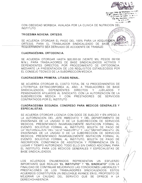

**Sapleador** del matil Sinadly Servicion Societies, is donés del Estado de Jonard Inge Me Mandora v And 72. 218.23 N. Meridante Avi<del>d</del>e

CON OBESIDAD MORBIDA, AVALADA POR LA CLINICA DE NUTRICION DEL **INSTITUTO**  $g$ <sub>10</sub>An ES DEL ES

#### TRIGESIMA NOVENA, ORTESIS.

SE ACUERDA OTORGAR EL PAGO DEL 100% PARA LA ADQUISIGION D ORTESIS, PARA EL TRABAJADOR SINDICALIZADO DE BASE LCU REQUERIMIENTO SEA DERIVADO DE ACCIDENTE DE TRABAJO.

# **CUADRAGESIMA, ORTODONCIA.**

SE ACUERDA OTORGAR HASTA \$20,000.00 (VEINTE MIL PESOS 00/100 M.N.), PARA TRABAJADORES DE BASE SINDICALIZADOS ACTIVOS Y DEPENDIENTES DIRECTOS, POR PROCEDIMIENTO DE ORTODONCIA, MEDIANTE LA PRESENTACION DE LOS REQUISITOS ESTABLECIDOS POR EL CONSEJO TECNICO DE LA SUBDIRECCIÓN MEDICA.

# **CUADRAGESIMA PRIMERA, LITIASIS RENAL.**

SE ACUERDA OTORGAR EL COSTO TOTAL DE 12 PROCEDIMIENTOS DE LITOTRIPSIA EXTRACORPOREA AL AÑO, A TRABJADORES DE BASE SINDICALIZADOS. DEPENDIENTES **DIRECTOS**  $Y$ **JUBILADOS** - Y PENSIONADOS AFILIADOS AL SINDICATO. CON LA AUTORIZACION DE LA SUBDIRECCION MEDICA Y CON PRESTADORES DE **SERVICIOS** CONTRATADOS POR EL INSTITUTO.

# CUADRAGESIMA SEGUNDA. CONGRESO PARA MEDICOS GENERALES Y **ESPECIALISTAS.**

SE ACUERDA OTORGAR LICENCIA CON GOCE DE SUELDO Y EN APEGO A LA AUTORIZACION DEL JEFE INMEDIATO Y DEL DEPARTAMENTO DE ENSEÑANZA DE LA UNIDAD O DE LA SUBDIRECCION DE SERVICIOS MEDICOS, PRESENTANDO INVARIABLEMENTE INVITACION FORMAL AL EVENTO. SOLICITUD FORMAL AL INSTITUTO, BOLETA DE PAGO DE LA AUTOMZAUMN DEL JEFE TINNEDIATO Y DEL DEPARTAMENTO DE ENSEÑANZA DE LA UNIDAD O DE LA SUBDIRECCION DE SERVICIOS MEDICOS, PRESENTANDO INVARIABLEMENTE INVITACION FORMAL AL EVENTO. SOLICITUD FORMAL AL INSTITUTO, BOLETA DE PAGO DE INSCRIPCION, CONSTANCIA DE ASISTENCIA Y PERMANENCIA EN EL LUGAR Y TIEMPO AUTORIZADO. TODO ELLO SIN CARGO ADICIONAL PARA EL INSTITUTO, PARA LOS MEDICOS GENERALES Y ESPECIALISTAS DE **BASE SINDICALIZADOS.** 

 $\overline{OS}$ **ACUERDOS** ENUMERADOS REPRESENTAN **ESFUERZO** UN -IMPORTANTE QUE REALIZA "EL INSTITUTO" Y "EL SINDICATO" CON LA FINALIDAD DE CONTINUAR MEJORANDO LAS CONDICIONES LABORALES Y PRESTACIONES DE LOS TRABAJADORES SINDICALIZADOS. ESTOS ACUERDOS CONSTITUYEN UN INDUDABLE AVANCE EN EL PROPOSITO DE MEJORAR LA CALIDAD DEL SERVICIO QUE SE OFRECE A LA DERECHOHABIENCIA.